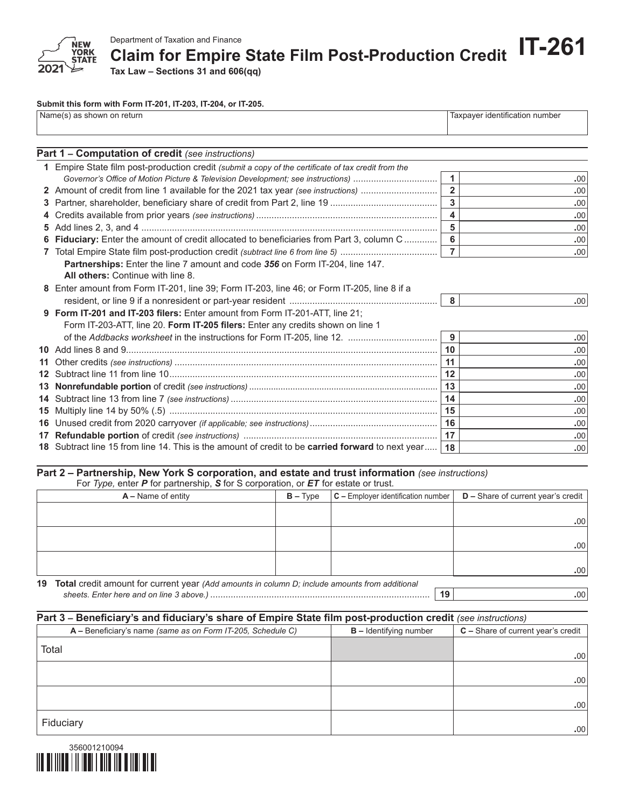

Department of Taxation and Finance<br>Claim for Empire State Film Post-Production Credit IT-261

**Tax Law – Sections 31 and 606(qq)**

## **Submit this form with Form IT-201, IT-203, IT-204, or IT-205.**

| Name(s) as shown on return | Taxpayer identification number |
|----------------------------|--------------------------------|
|                            |                                |

| Part 1 - Computation of credit (see instructions)                                                   |                |                  |
|-----------------------------------------------------------------------------------------------------|----------------|------------------|
| 1 Empire State film post-production credit (submit a copy of the certificate of tax credit from the |                |                  |
| Governor's Office of Motion Picture & Television Development; see instructions)                     | $\mathbf{1}$   | .00.             |
| 2 Amount of credit from line 1 available for the 2021 tax year (see instructions)                   | $\overline{2}$ | .00              |
|                                                                                                     | $\overline{3}$ | .00              |
|                                                                                                     | 4              | .00              |
|                                                                                                     | 5              | .00              |
| 6 Fiduciary: Enter the amount of credit allocated to beneficiaries from Part 3, column C            | 6              | .00              |
|                                                                                                     | $\overline{7}$ | .00.             |
| Partnerships: Enter the line 7 amount and code 356 on Form IT-204, line 147.                        |                |                  |
| All others: Continue with line 8.                                                                   |                |                  |
| 8 Enter amount from Form IT-201, line 39; Form IT-203, line 46; or Form IT-205, line 8 if a         |                |                  |
|                                                                                                     | 8              | .00 <sub>1</sub> |
| 9 Form IT-201 and IT-203 filers: Enter amount from Form IT-201-ATT, line 21;                        |                |                  |
| Form IT-203-ATT, line 20. Form IT-205 filers: Enter any credits shown on line 1                     |                |                  |
|                                                                                                     | 9              | .00              |
|                                                                                                     | 10             | .00              |
|                                                                                                     | 11             | .00              |
|                                                                                                     | 12             | .00              |
|                                                                                                     | 13             | .00              |
|                                                                                                     | 14             | .00              |
|                                                                                                     | 15             | .00              |
|                                                                                                     | 16             | .00              |
|                                                                                                     | 17             | .00              |
| 18 Subtract line 15 from line 14. This is the amount of credit to be carried forward to next year   | 18             | .00              |

## **Part 2 – Partnership, New York S corporation, and estate and trust information** *(see instructions)*

For *Type,* enter *P* for partnership, *S* for S corporation, or *ET* for estate or trust.

|  | $D$ – Share of current year's credit<br>$\mathsf{C}$ – Employer identification number $\mathsf{C}$ |
|--|----------------------------------------------------------------------------------------------------|
|  |                                                                                                    |
|  | .00                                                                                                |
|  |                                                                                                    |
|  | .00                                                                                                |
|  |                                                                                                    |
|  | .00                                                                                                |
|  | 10 Total credit amount for current year (Add emounts in solumn D; include emounts from additional  |

**19 Total** credit amount for current year *(Add amounts in column D; include amounts from additional sheets. Enter here and on line 3 above.)* ...................................................................................... **19 .**00

| Part 3 - Beneficiary's and fiduciary's share of Empire State film post-production credit (see instructions) |                          |                                      |  |  |  |
|-------------------------------------------------------------------------------------------------------------|--------------------------|--------------------------------------|--|--|--|
| A - Beneficiary's name (same as on Form IT-205, Schedule C)                                                 | $B -$ Identifying number | $C$ – Share of current year's credit |  |  |  |
| Total                                                                                                       |                          | .00 <sub>1</sub>                     |  |  |  |
|                                                                                                             |                          | .00                                  |  |  |  |
|                                                                                                             |                          | .00 <sub>1</sub>                     |  |  |  |
| Fiduciary                                                                                                   |                          | .00 <sub>1</sub>                     |  |  |  |